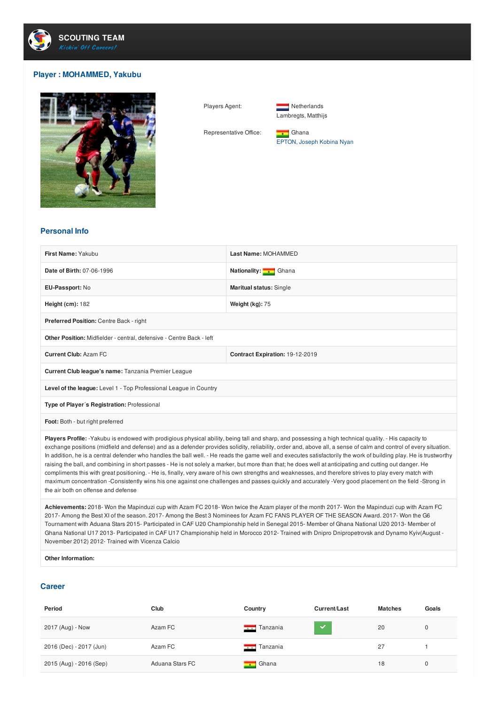

## **Player : MOHAMMED, Yakubu**



Players Agent: Netherlands

Representative Office: **Fig. 1** Ghana

Lambregts, Matthijs

EPTON, Joseph Kobina Nyan

## **Personal Info**

| First Name: Yakubu                                                                                                                                                                                                                                                                                                                                                                                                                                                                             | Last Name: MOHAMMED                 |  |  |  |  |
|------------------------------------------------------------------------------------------------------------------------------------------------------------------------------------------------------------------------------------------------------------------------------------------------------------------------------------------------------------------------------------------------------------------------------------------------------------------------------------------------|-------------------------------------|--|--|--|--|
| Date of Birth: 07-06-1996                                                                                                                                                                                                                                                                                                                                                                                                                                                                      | <b>Nationality:</b> $\bullet$ Ghana |  |  |  |  |
| EU-Passport: No                                                                                                                                                                                                                                                                                                                                                                                                                                                                                | <b>Maritual status: Single</b>      |  |  |  |  |
| Height $(cm): 182$                                                                                                                                                                                                                                                                                                                                                                                                                                                                             | Weight $(kg)$ : 75                  |  |  |  |  |
| Preferred Position: Centre Back - right                                                                                                                                                                                                                                                                                                                                                                                                                                                        |                                     |  |  |  |  |
| <b>Other Position:</b> Midfielder - central, defensive - Centre Back - left                                                                                                                                                                                                                                                                                                                                                                                                                    |                                     |  |  |  |  |
| <b>Current Club: Azam FC</b>                                                                                                                                                                                                                                                                                                                                                                                                                                                                   | Contract Expiration: 19-12-2019     |  |  |  |  |
| Current Club league's name: Tanzania Premier League                                                                                                                                                                                                                                                                                                                                                                                                                                            |                                     |  |  |  |  |
| Level of the league: Level 1 - Top Professional League in Country                                                                                                                                                                                                                                                                                                                                                                                                                              |                                     |  |  |  |  |
| Type of Player's Registration: Professional                                                                                                                                                                                                                                                                                                                                                                                                                                                    |                                     |  |  |  |  |
| Foot: Both - but right preferred                                                                                                                                                                                                                                                                                                                                                                                                                                                               |                                     |  |  |  |  |
| Players Profile: -Yakubu is endowed with prodigious physical ability, being tall and sharp, and possessing a high technical quality. - His capacity to<br>exchange positions (midfield and defense) and as a defender provides solidity, reliability, order and, above all, a sense of calm and control of every situation.<br>In addition he is a control defender who bendles the bell well. He reads the game well and executor setictedrative the werk of building play. He is tructworthy |                                     |  |  |  |  |

In addition, he is a central defender who handles the ball well. - He reads the game well and executes satisfactorily the work of building play. He is trustworthy raising the ball, and combining in short passes - He is not solely a marker, but more than that; he does well at anticipating and cutting out danger. He compliments this with great positioning. - He is, finally, very aware of his own strengths and weaknesses, and therefore strives to play every match with maximum concentration -Consistently wins his one against one challenges and passes quickly and accurately -Very good placement on the field -Strong in the air both on offense and defense

**Achievements:** 2018- Won the Mapinduzi cup with Azam FC 2018- Won twice the Azam player of the month 2017- Won the Mapinduzi cup with Azam FC 2017- Among the Best XI of the season. 2017- Among the Best 3 Nominees for Azam FC FANS PLAYER OF THE SEASON Award. 2017- Won the G6 Tournament with Aduana Stars 2015- Participated in CAF U20 Championship held in Senegal 2015- Member of Ghana National U20 2013- Member of Ghana National U17 2013- Participated in CAF U17 Championship held in Morocco 2012- Trained with Dnipro Dnipropetrovsk and Dynamo Kyiv(August - November 2012) 2012- Trained with Vicenza Calcio

**Other Information:**

## **Career**

| Period                  | Club            | Country                      | <b>Current/Last</b> | <b>Matches</b> | Goals |
|-------------------------|-----------------|------------------------------|---------------------|----------------|-------|
| 2017 (Aug) - Now        | Azam FC         | Tanzania<br><b>The State</b> | <b>A</b>            | 20             | 0     |
| 2016 (Dec) - 2017 (Jun) | Azam FC         | Tanzania<br>---              |                     | 27             |       |
| 2015 (Aug) - 2016 (Sep) | Aduana Stars FC | Ghana                        |                     | 18             | 0     |